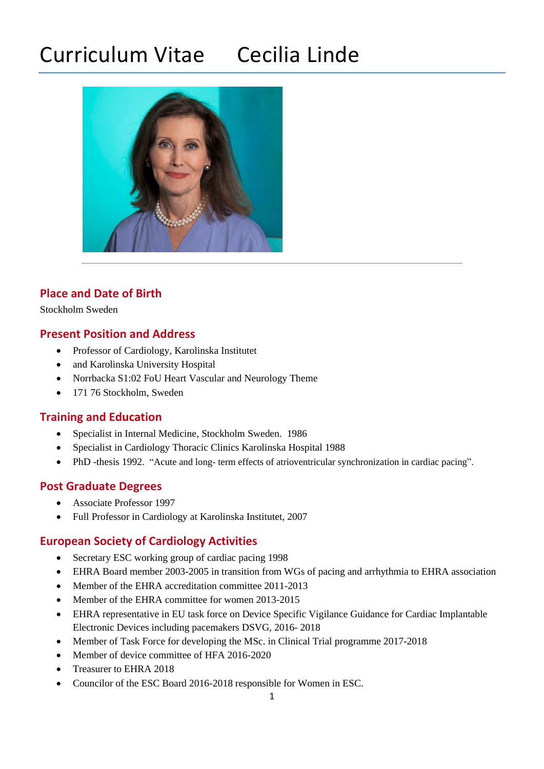# Curriculum Vitae Cecilia Linde



# **Place and Date of Birth**

Stockholm Sweden

## **Present Position and Address**

- Professor of Cardiology, Karolinska Institutet
- and Karolinska University Hospital
- Norrbacka S1:02 FoU Heart Vascular and Neurology Theme
- 171 76 Stockholm, Sweden

# **Training and Education**

- Specialist in Internal Medicine, Stockholm Sweden. 1986
- Specialist in Cardiology Thoracic Clinics Karolinska Hospital 1988
- PhD -thesis 1992. "Acute and long- term effects of atrioventricular synchronization in cardiac pacing".

# **Post Graduate Degrees**

- Associate Professor 1997
- Full Professor in Cardiology at Karolinska Institutet, 2007

# **European Society of Cardiology Activities**

- Secretary ESC working group of cardiac pacing 1998
- EHRA Board member 2003-2005 in transition from WGs of pacing and arrhythmia to EHRA association
- Member of the EHRA accreditation committee 2011-2013
- Member of the EHRA committee for women 2013-2015
- EHRA representative in EU task force on Device Specific Vigilance Guidance for Cardiac Implantable Electronic Devices including pacemakers DSVG, 2016- 2018
- Member of Task Force for developing the MSc. in Clinical Trial programme 2017-2018
- Member of device committee of HFA 2016-2020
- Treasurer to EHRA 2018
- Councilor of the ESC Board 2016-2018 responsible for Women in ESC.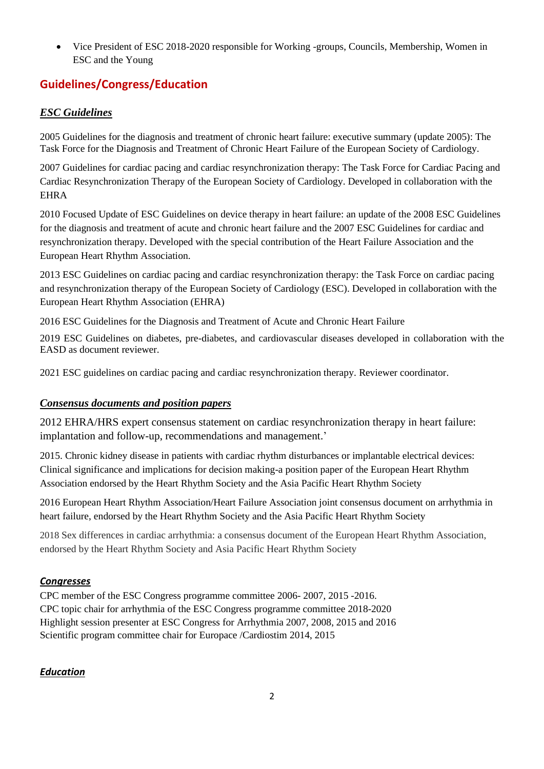• Vice President of ESC 2018-2020 responsible for Working -groups, Councils, Membership, Women in ESC and the Young

# **Guidelines/Congress/Education**

## *ESC Guidelines*

2005 Guidelines [for the diagnosis and treatment of chronic heart failure: executive summary \(update 2005\): The](https://www-ncbi-nlm-nih-gov.proxy.kib.ki.se/pubmed/15901669)  [Task Force for the Diagnosis and Treatment of Chronic Heart Failure of the European Society of Cardiology.](https://www-ncbi-nlm-nih-gov.proxy.kib.ki.se/pubmed/15901669)

2007 Guidelines for cardiac pacing and cardiac resynchronization therapy: The Task Force for Cardiac Pacing and Cardiac Resynchronization Therapy of the European Society of Cardiology. Developed in collaboration with the EHRA

2010 Focused Update of ESC Guidelines on device therapy in heart failure: an update of the 2008 ESC Guidelines for the diagnosis and treatment of acute and chronic heart failure and the 2007 ESC Guidelines for cardiac and resynchronization therapy. Developed with the special contribution of the Heart Failure Association and the European Heart Rhythm Association.

2013 ESC Guidelines on cardiac pacing and cardiac resynchronization therapy: the Task Force on cardiac pacing and resynchronization therapy of the European Society of Cardiology (ESC). Developed in collaboration with the European Heart Rhythm Association (EHRA)

2016 ESC Guidelines for the Diagnosis and Treatment of Acute and Chronic Heart Failure

2019 ESC Guidelines on diabetes, pre-diabetes, and cardiovascular diseases developed in collaboration with the EASD as document reviewer.

2021 ESC guidelines on cardiac pacing and cardiac resynchronization therapy. Reviewer coordinator.

## *Consensus documents and position papers*

2012 EHRA/HRS expert consensus statement on cardiac resynchronization therapy in heart failure: implantation and follow-up, recommendations and management.'

2015. Chronic kidney disease in patients with cardiac rhythm disturbances or implantable electrical devices: Clinical significance and implications for decision making-a position paper of the European Heart Rhythm Association endorsed by the Heart Rhythm Society and the Asia Pacific Heart Rhythm Society

2016 European Heart Rhythm Association/Heart Failure Association joint consensus document on arrhythmia in heart failure, endorsed by the Heart Rhythm Society and the Asia Pacific Heart Rhythm Society

2018 Sex differences in cardiac arrhythmia: a consensus document of the European Heart Rhythm Association, endorsed by the Heart Rhythm Society and Asia Pacific Heart Rhythm Society

## *Congresses*

CPC member of the ESC Congress programme committee 2006- 2007, 2015 -2016. CPC topic chair for arrhythmia of the ESC Congress programme committee 2018-2020 Highlight session presenter at ESC Congress for Arrhythmia 2007, 2008, 2015 and 2016 Scientific program committee chair for Europace /Cardiostim 2014, 2015

## *Education*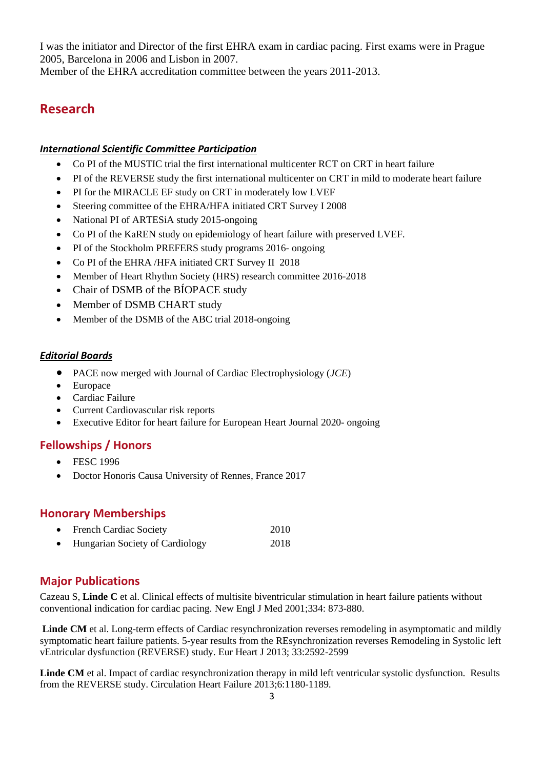I was the initiator and Director of the first EHRA exam in cardiac pacing. First exams were in Prague 2005, Barcelona in 2006 and Lisbon in 2007.

Member of the EHRA accreditation committee between the years 2011-2013.

# **Research**

#### *International Scientific Committee Participation*

- Co PI of the MUSTIC trial the first international multicenter RCT on CRT in heart failure
- PI of the REVERSE study the first international multicenter on CRT in mild to moderate heart failure
- PI for the MIRACLE EF study on CRT in moderately low LVEF
- Steering committee of the EHRA/HFA initiated CRT Survey I 2008
- National PI of ARTESiA study 2015-ongoing
- Co PI of the KaREN study on epidemiology of heart failure with preserved LVEF.
- PI of the Stockholm PREFERS study programs 2016- ongoing
- Co PI of the EHRA /HFA initiated CRT Survey II 2018
- Member of Heart Rhythm Society (HRS) research committee 2016-2018
- Chair of DSMB of the BÍOPACE study
- Member of DSMB CHART study
- Member of the DSMB of the ABC trial 2018-ongoing

#### *Editorial Boards*

- PACE now merged with Journal of Cardiac Electrophysiology (*JCE*)
- Europace
- Cardiac Failure
- Current Cardiovascular risk reports
- Executive Editor for heart failure for European Heart Journal 2020- ongoing

## **Fellowships / Honors**

- FESC 1996
- Doctor Honoris Causa University of Rennes, France 2017

## **Honorary Memberships**

| $\bullet$ | <b>French Cardiac Society</b>          | 2010 |
|-----------|----------------------------------------|------|
| $\bullet$ | <b>Hungarian Society of Cardiology</b> | 2018 |

## **Major Publications**

Cazeau S, **Linde C** et al. Clinical effects of multisite biventricular stimulation in heart failure patients without conventional indication for cardiac pacing. New Engl J Med 2001;334: 873-880.

**Linde CM** et al. Long-term effects of Cardiac resynchronization reverses remodeling in asymptomatic and mildly symptomatic heart failure patients. 5-year results from the REsynchronization reverses Remodeling in Systolic left vEntricular dysfunction (REVERSE) study. Eur Heart J 2013; 33:2592-2599

**Linde CM** et al. Impact of cardiac resynchronization therapy in mild left ventricular systolic dysfunction. Results from the REVERSE study. Circulation Heart Failure 2013;6:1180-1189.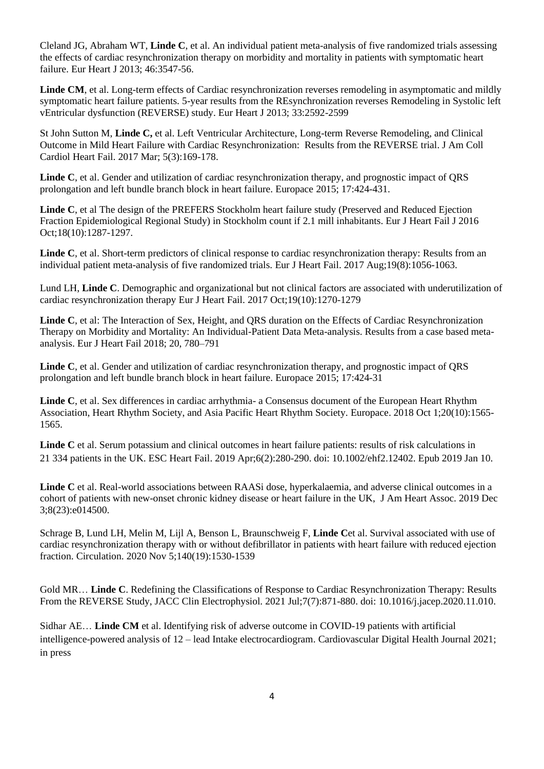Cleland JG, Abraham WT, **Linde C**, et al. An individual patient meta-analysis of five randomized trials assessing the effects of cardiac resynchronization therapy on morbidity and mortality in patients with symptomatic heart failure. Eur Heart J 2013; 46:3547-56.

**Linde CM**, et al. Long-term effects of Cardiac resynchronization reverses remodeling in asymptomatic and mildly symptomatic heart failure patients. 5-year results from the REsynchronization reverses Remodeling in Systolic left vEntricular dysfunction (REVERSE) study. Eur Heart J 2013; 33:2592-2599

St John Sutton M, **Linde C,** et al. Left Ventricular Architecture, Long-term Reverse Remodeling, and Clinical Outcome in Mild Heart Failure with Cardiac Resynchronization: Results from the REVERSE trial. J Am Coll Cardiol Heart Fail. 2017 Mar; 5(3):169-178.

**Linde C**, et al. Gender and utilization of cardiac resynchronization therapy, and prognostic impact of QRS prolongation and left bundle branch block in heart failure. Europace 2015; 17:424-431.

**Linde C**, et al The design of the PREFERS Stockholm heart failure study (Preserved and Reduced Ejection Fraction Epidemiological Regional Study) in Stockholm count if 2.1 mill inhabitants. Eur J Heart Fail J 2016 Oct;18(10):1287-1297.

**Linde C**, et al. Short-term predictors of clinical response to cardiac resynchronization therapy: Results from an individual patient meta-analysis of five randomized trials. Eur J Heart Fail. 2017 Aug;19(8):1056-1063.

Lund LH, **Linde C**. Demographic and organizational but not clinical factors are associated with underutilization of cardiac resynchronization therapy Eur J Heart Fail. 2017 Oct;19(10):1270-1279

**Linde C**, et al: The Interaction of Sex, Height, and QRS duration on the Effects of Cardiac Resynchronization Therapy on Morbidity and Mortality: An Individual-Patient Data Meta-analysis. Results from a case based metaanalysis. Eur J Heart Fail 2018; 20, 780–791

**Linde C**, et al. Gender and utilization of cardiac resynchronization therapy, and prognostic impact of QRS prolongation and left bundle branch block in heart failure. Europace 2015; 17:424-31

**Linde C**, et al. Sex differences in cardiac arrhythmia- a Consensus document of the European Heart Rhythm Association, Heart Rhythm Society, and Asia Pacific Heart Rhythm Society. Europace. 2018 Oct 1;20(10):1565- 1565.

**Linde C** et al. Serum potassium and clinical outcomes in heart failure patients: results of risk calculations in 21 334 patients in the UK. ESC Heart Fail. 2019 Apr;6(2):280-290. doi: 10.1002/ehf2.12402. Epub 2019 Jan 10.

**Linde C** et al. Real-world associations between RAASi dose, hyperkalaemia, and adverse clinical outcomes in a cohort of patients with new-onset chronic kidney disease or heart failure in the UK, [J Am Heart Assoc. 2019 Dec](https://www-ncbi-nlm-nih-gov.proxy.kib.ki.se/pubmed/31771442)  [3;8\(23\):e014500.](https://www-ncbi-nlm-nih-gov.proxy.kib.ki.se/pubmed/31771442)

Schrage B, Lund LH, Melin M, Lijl A, Benson L, Braunschweig F, **Linde C**et al. Survival associated with use of cardiac resynchronization therapy with or without defibrillator in patients with heart failure with reduced ejection fraction. Circulation. 2020 Nov 5;140(19):1530-1539

Gold MR… **Linde C**. Redefining the Classifications of Response to Cardiac Resynchronization Therapy: Results From the REVERSE Study, JACC Clin Electrophysiol. 2021 Jul;7(7):871-880. doi: 10.1016/j.jacep.2020.11.010.

Sidhar AE… **Linde CM** et al. Identifying risk of adverse outcome in COVID-19 patients with artificial intelligence-powered analysis of 12 – lead Intake electrocardiogram. Cardiovascular Digital Health Journal 2021; in press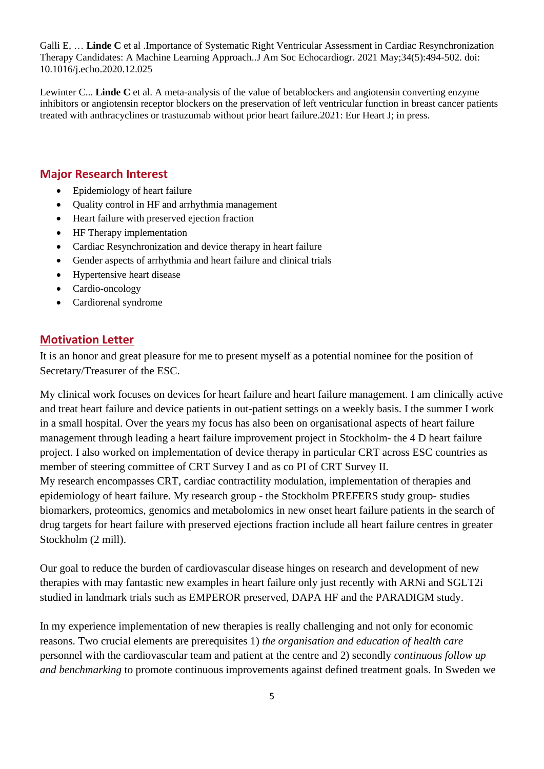Galli E, … **Linde C** et al [.Importance of Systematic Right Ventricular Assessment in Cardiac Resynchronization](https://pubmed-ncbi-nlm-nih-gov.proxy.kib.ki.se/33422667/)  [Therapy Candidates: A Machine Learning Approach..](https://pubmed-ncbi-nlm-nih-gov.proxy.kib.ki.se/33422667/)J Am Soc Echocardiogr. 2021 May;34(5):494-502. doi: 10.1016/j.echo.2020.12.025

Lewinter C... **Linde C** et al. A meta-analysis of the value of betablockers and angiotensin converting enzyme inhibitors or angiotensin receptor blockers on the preservation of left ventricular function in breast cancer patients treated with anthracyclines or trastuzumab without prior heart failure.2021: Eur Heart J; in press.

## **Major Research Interest**

- Epidemiology of heart failure
- Quality control in HF and arrhythmia management
- Heart failure with preserved ejection fraction
- HF Therapy implementation
- Cardiac Resynchronization and device therapy in heart failure
- Gender aspects of arrhythmia and heart failure and clinical trials
- Hypertensive heart disease
- Cardio-oncology
- Cardiorenal syndrome

# **Motivation Letter**

It is an honor and great pleasure for me to present myself as a potential nominee for the position of Secretary/Treasurer of the ESC.

My clinical work focuses on devices for heart failure and heart failure management. I am clinically active and treat heart failure and device patients in out-patient settings on a weekly basis. I the summer I work in a small hospital. Over the years my focus has also been on organisational aspects of heart failure management through leading a heart failure improvement project in Stockholm- the 4 D heart failure project. I also worked on implementation of device therapy in particular CRT across ESC countries as member of steering committee of CRT Survey I and as co PI of CRT Survey II. My research encompasses CRT, cardiac contractility modulation, implementation of therapies and epidemiology of heart failure. My research group - the Stockholm PREFERS study group- studies biomarkers, proteomics, genomics and metabolomics in new onset heart failure patients in the search of drug targets for heart failure with preserved ejections fraction include all heart failure centres in greater Stockholm (2 mill).

Our goal to reduce the burden of cardiovascular disease hinges on research and development of new therapies with may fantastic new examples in heart failure only just recently with ARNi and SGLT2i studied in landmark trials such as EMPEROR preserved, DAPA HF and the PARADIGM study.

In my experience implementation of new therapies is really challenging and not only for economic reasons. Two crucial elements are prerequisites 1) *the organisation and education of health care* personnel with the cardiovascular team and patient at the centre and 2) secondly *continuous follow up and benchmarking* to promote continuous improvements against defined treatment goals. In Sweden we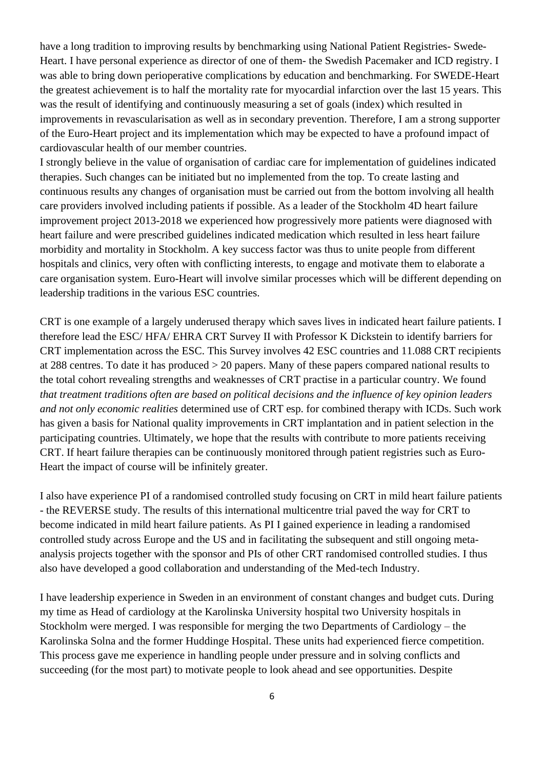have a long tradition to improving results by benchmarking using National Patient Registries- Swede-Heart. I have personal experience as director of one of them- the Swedish Pacemaker and ICD registry. I was able to bring down perioperative complications by education and benchmarking. For SWEDE-Heart the greatest achievement is to half the mortality rate for myocardial infarction over the last 15 years. This was the result of identifying and continuously measuring a set of goals (index) which resulted in improvements in revascularisation as well as in secondary prevention. Therefore, I am a strong supporter of the Euro-Heart project and its implementation which may be expected to have a profound impact of cardiovascular health of our member countries.

I strongly believe in the value of organisation of cardiac care for implementation of guidelines indicated therapies. Such changes can be initiated but no implemented from the top. To create lasting and continuous results any changes of organisation must be carried out from the bottom involving all health care providers involved including patients if possible. As a leader of the Stockholm 4D heart failure improvement project 2013-2018 we experienced how progressively more patients were diagnosed with heart failure and were prescribed guidelines indicated medication which resulted in less heart failure morbidity and mortality in Stockholm. A key success factor was thus to unite people from different hospitals and clinics, very often with conflicting interests, to engage and motivate them to elaborate a care organisation system. Euro-Heart will involve similar processes which will be different depending on leadership traditions in the various ESC countries.

CRT is one example of a largely underused therapy which saves lives in indicated heart failure patients. I therefore lead the ESC/ HFA/ EHRA CRT Survey II with Professor K Dickstein to identify barriers for CRT implementation across the ESC. This Survey involves 42 ESC countries and 11.088 CRT recipients at 288 centres. To date it has produced > 20 papers. Many of these papers compared national results to the total cohort revealing strengths and weaknesses of CRT practise in a particular country. We found *that treatment traditions often are based on political decisions and the influence of key opinion leaders and not only economic realities* determined use of CRT esp. for combined therapy with ICDs. Such work has given a basis for National quality improvements in CRT implantation and in patient selection in the participating countries. Ultimately, we hope that the results with contribute to more patients receiving CRT. If heart failure therapies can be continuously monitored through patient registries such as Euro-Heart the impact of course will be infinitely greater.

I also have experience PI of a randomised controlled study focusing on CRT in mild heart failure patients - the REVERSE study. The results of this international multicentre trial paved the way for CRT to become indicated in mild heart failure patients. As PI I gained experience in leading a randomised controlled study across Europe and the US and in facilitating the subsequent and still ongoing metaanalysis projects together with the sponsor and PIs of other CRT randomised controlled studies. I thus also have developed a good collaboration and understanding of the Med-tech Industry.

I have leadership experience in Sweden in an environment of constant changes and budget cuts. During my time as Head of cardiology at the Karolinska University hospital two University hospitals in Stockholm were merged. I was responsible for merging the two Departments of Cardiology – the Karolinska Solna and the former Huddinge Hospital. These units had experienced fierce competition. This process gave me experience in handling people under pressure and in solving conflicts and succeeding (for the most part) to motivate people to look ahead and see opportunities. Despite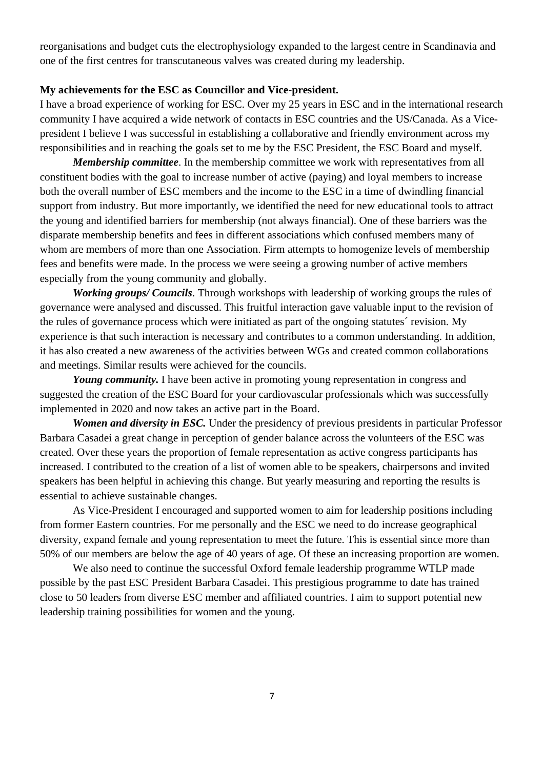reorganisations and budget cuts the electrophysiology expanded to the largest centre in Scandinavia and one of the first centres for transcutaneous valves was created during my leadership.

#### **My achievements for the ESC as Councillor and Vice-president.**

I have a broad experience of working for ESC. Over my 25 years in ESC and in the international research community I have acquired a wide network of contacts in ESC countries and the US/Canada. As a Vicepresident I believe I was successful in establishing a collaborative and friendly environment across my responsibilities and in reaching the goals set to me by the ESC President, the ESC Board and myself.

*Membership committee*. In the membership committee we work with representatives from all constituent bodies with the goal to increase number of active (paying) and loyal members to increase both the overall number of ESC members and the income to the ESC in a time of dwindling financial support from industry. But more importantly, we identified the need for new educational tools to attract the young and identified barriers for membership (not always financial). One of these barriers was the disparate membership benefits and fees in different associations which confused members many of whom are members of more than one Association. Firm attempts to homogenize levels of membership fees and benefits were made. In the process we were seeing a growing number of active members especially from the young community and globally.

*Working groups/ Councils*. Through workshops with leadership of working groups the rules of governance were analysed and discussed. This fruitful interaction gave valuable input to the revision of the rules of governance process which were initiated as part of the ongoing statutes´ revision. My experience is that such interaction is necessary and contributes to a common understanding. In addition, it has also created a new awareness of the activities between WGs and created common collaborations and meetings. Similar results were achieved for the councils.

*Young community.* I have been active in promoting young representation in congress and suggested the creation of the ESC Board for your cardiovascular professionals which was successfully implemented in 2020 and now takes an active part in the Board.

*Women and diversity in ESC.* Under the presidency of previous presidents in particular Professor Barbara Casadei a great change in perception of gender balance across the volunteers of the ESC was created. Over these years the proportion of female representation as active congress participants has increased. I contributed to the creation of a list of women able to be speakers, chairpersons and invited speakers has been helpful in achieving this change. But yearly measuring and reporting the results is essential to achieve sustainable changes.

As Vice-President I encouraged and supported women to aim for leadership positions including from former Eastern countries. For me personally and the ESC we need to do increase geographical diversity, expand female and young representation to meet the future. This is essential since more than 50% of our members are below the age of 40 years of age. Of these an increasing proportion are women.

We also need to continue the successful Oxford female leadership programme WTLP made possible by the past ESC President Barbara Casadei. This prestigious programme to date has trained close to 50 leaders from diverse ESC member and affiliated countries. I aim to support potential new leadership training possibilities for women and the young.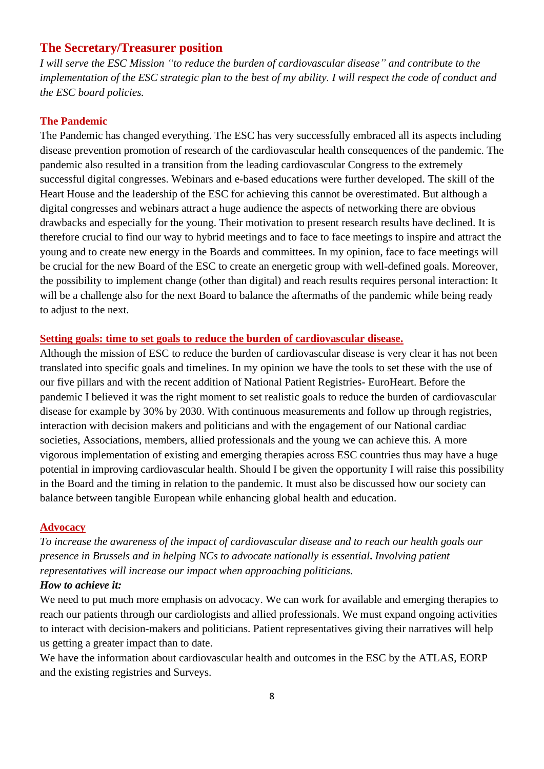# **The Secretary/Treasurer position**

*I will serve the ESC Mission "to reduce the burden of cardiovascular disease" and contribute to the implementation of the ESC strategic plan to the best of my ability. I will respect the code of conduct and the ESC board policies.* 

## **The Pandemic**

The Pandemic has changed everything. The ESC has very successfully embraced all its aspects including disease prevention promotion of research of the cardiovascular health consequences of the pandemic. The pandemic also resulted in a transition from the leading cardiovascular Congress to the extremely successful digital congresses. Webinars and e-based educations were further developed. The skill of the Heart House and the leadership of the ESC for achieving this cannot be overestimated. But although a digital congresses and webinars attract a huge audience the aspects of networking there are obvious drawbacks and especially for the young. Their motivation to present research results have declined. It is therefore crucial to find our way to hybrid meetings and to face to face meetings to inspire and attract the young and to create new energy in the Boards and committees. In my opinion, face to face meetings will be crucial for the new Board of the ESC to create an energetic group with well-defined goals. Moreover, the possibility to implement change (other than digital) and reach results requires personal interaction: It will be a challenge also for the next Board to balance the aftermaths of the pandemic while being ready to adjust to the next.

## **Setting goals: time to set goals to reduce the burden of cardiovascular disease.**

Although the mission of ESC to reduce the burden of cardiovascular disease is very clear it has not been translated into specific goals and timelines. In my opinion we have the tools to set these with the use of our five pillars and with the recent addition of National Patient Registries- EuroHeart. Before the pandemic I believed it was the right moment to set realistic goals to reduce the burden of cardiovascular disease for example by 30% by 2030. With continuous measurements and follow up through registries, interaction with decision makers and politicians and with the engagement of our National cardiac societies, Associations, members, allied professionals and the young we can achieve this. A more vigorous implementation of existing and emerging therapies across ESC countries thus may have a huge potential in improving cardiovascular health. Should I be given the opportunity I will raise this possibility in the Board and the timing in relation to the pandemic. It must also be discussed how our society can balance between tangible European while enhancing global health and education.

## **Advocacy**

*To increase the awareness of the impact of cardiovascular disease and to reach our health goals our presence in Brussels and in helping NCs to advocate nationally is essential***.** *Involving patient representatives will increase our impact when approaching politicians.*

## *How to achieve it:*

We need to put much more emphasis on advocacy. We can work for available and emerging therapies to reach our patients through our cardiologists and allied professionals. We must expand ongoing activities to interact with decision-makers and politicians. Patient representatives giving their narratives will help us getting a greater impact than to date.

We have the information about cardiovascular health and outcomes in the ESC by the ATLAS, EORP and the existing registries and Surveys.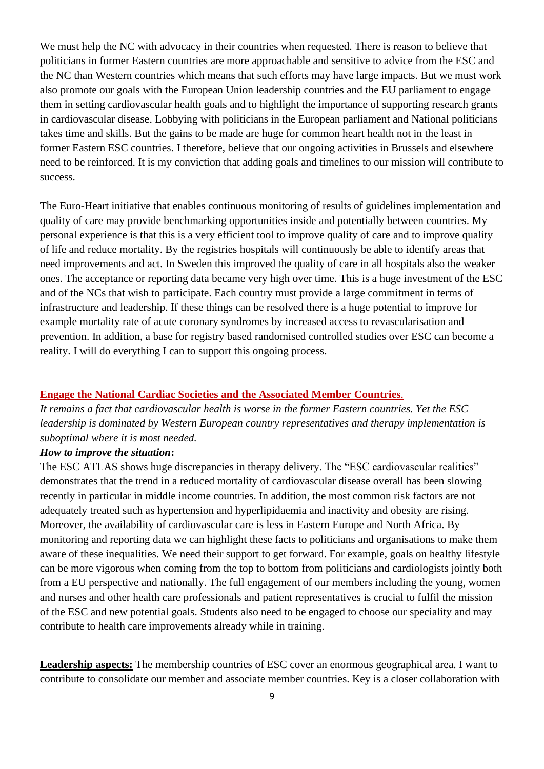We must help the NC with advocacy in their countries when requested. There is reason to believe that politicians in former Eastern countries are more approachable and sensitive to advice from the ESC and the NC than Western countries which means that such efforts may have large impacts. But we must work also promote our goals with the European Union leadership countries and the EU parliament to engage them in setting cardiovascular health goals and to highlight the importance of supporting research grants in cardiovascular disease. Lobbying with politicians in the European parliament and National politicians takes time and skills. But the gains to be made are huge for common heart health not in the least in former Eastern ESC countries. I therefore, believe that our ongoing activities in Brussels and elsewhere need to be reinforced. It is my conviction that adding goals and timelines to our mission will contribute to success.

The Euro-Heart initiative that enables continuous monitoring of results of guidelines implementation and quality of care may provide benchmarking opportunities inside and potentially between countries. My personal experience is that this is a very efficient tool to improve quality of care and to improve quality of life and reduce mortality. By the registries hospitals will continuously be able to identify areas that need improvements and act. In Sweden this improved the quality of care in all hospitals also the weaker ones. The acceptance or reporting data became very high over time. This is a huge investment of the ESC and of the NCs that wish to participate. Each country must provide a large commitment in terms of infrastructure and leadership. If these things can be resolved there is a huge potential to improve for example mortality rate of acute coronary syndromes by increased access to revascularisation and prevention. In addition, a base for registry based randomised controlled studies over ESC can become a reality. I will do everything I can to support this ongoing process.

#### **Engage the National Cardiac Societies and the Associated Member Countries**.

*It remains a fact that cardiovascular health is worse in the former Eastern countries. Yet the ESC leadership is dominated by Western European country representatives and therapy implementation is suboptimal where it is most needed.* 

#### *How to improve the situation***:**

The ESC ATLAS shows huge discrepancies in therapy delivery. The "ESC cardiovascular realities" demonstrates that the trend in a reduced mortality of cardiovascular disease overall has been slowing recently in particular in middle income countries. In addition, the most common risk factors are not adequately treated such as hypertension and hyperlipidaemia and inactivity and obesity are rising. Moreover, the availability of cardiovascular care is less in Eastern Europe and North Africa. By monitoring and reporting data we can highlight these facts to politicians and organisations to make them aware of these inequalities. We need their support to get forward. For example, goals on healthy lifestyle can be more vigorous when coming from the top to bottom from politicians and cardiologists jointly both from a EU perspective and nationally. The full engagement of our members including the young, women and nurses and other health care professionals and patient representatives is crucial to fulfil the mission of the ESC and new potential goals. Students also need to be engaged to choose our speciality and may contribute to health care improvements already while in training.

**Leadership aspects:** The membership countries of ESC cover an enormous geographical area. I want to contribute to consolidate our member and associate member countries. Key is a closer collaboration with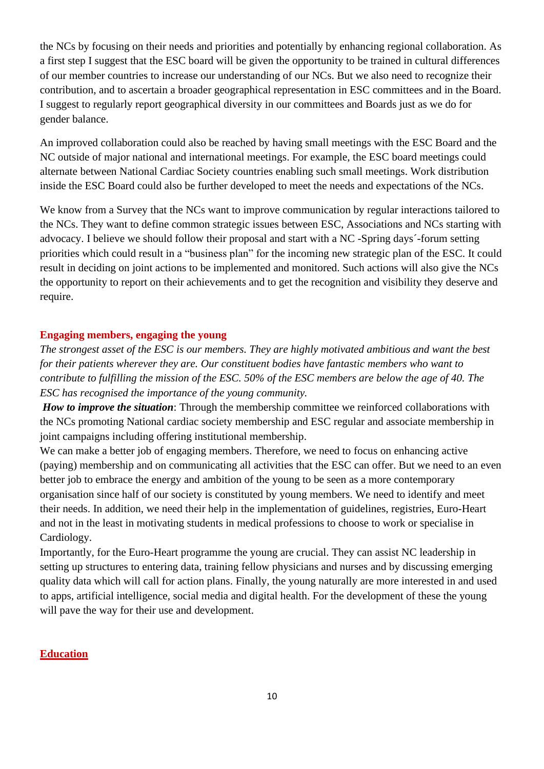the NCs by focusing on their needs and priorities and potentially by enhancing regional collaboration. As a first step I suggest that the ESC board will be given the opportunity to be trained in cultural differences of our member countries to increase our understanding of our NCs. But we also need to recognize their contribution, and to ascertain a broader geographical representation in ESC committees and in the Board. I suggest to regularly report geographical diversity in our committees and Boards just as we do for gender balance.

An improved collaboration could also be reached by having small meetings with the ESC Board and the NC outside of major national and international meetings. For example, the ESC board meetings could alternate between National Cardiac Society countries enabling such small meetings. Work distribution inside the ESC Board could also be further developed to meet the needs and expectations of the NCs.

We know from a Survey that the NCs want to improve communication by regular interactions tailored to the NCs. They want to define common strategic issues between ESC, Associations and NCs starting with advocacy. I believe we should follow their proposal and start with a NC -Spring days´-forum setting priorities which could result in a "business plan" for the incoming new strategic plan of the ESC. It could result in deciding on joint actions to be implemented and monitored. Such actions will also give the NCs the opportunity to report on their achievements and to get the recognition and visibility they deserve and require.

#### **Engaging members, engaging the young**

*The strongest asset of the ESC is our members. They are highly motivated ambitious and want the best for their patients wherever they are. Our constituent bodies have fantastic members who want to contribute to fulfilling the mission of the ESC. 50% of the ESC members are below the age of 40. The ESC has recognised the importance of the young community.* 

*How to improve the situation*: Through the membership committee we reinforced collaborations with the NCs promoting National cardiac society membership and ESC regular and associate membership in joint campaigns including offering institutional membership.

We can make a better job of engaging members. Therefore, we need to focus on enhancing active (paying) membership and on communicating all activities that the ESC can offer. But we need to an even better job to embrace the energy and ambition of the young to be seen as a more contemporary organisation since half of our society is constituted by young members. We need to identify and meet their needs. In addition, we need their help in the implementation of guidelines, registries, Euro-Heart and not in the least in motivating students in medical professions to choose to work or specialise in Cardiology.

Importantly, for the Euro-Heart programme the young are crucial. They can assist NC leadership in setting up structures to entering data, training fellow physicians and nurses and by discussing emerging quality data which will call for action plans. Finally, the young naturally are more interested in and used to apps, artificial intelligence, social media and digital health. For the development of these the young will pave the way for their use and development.

#### **Education**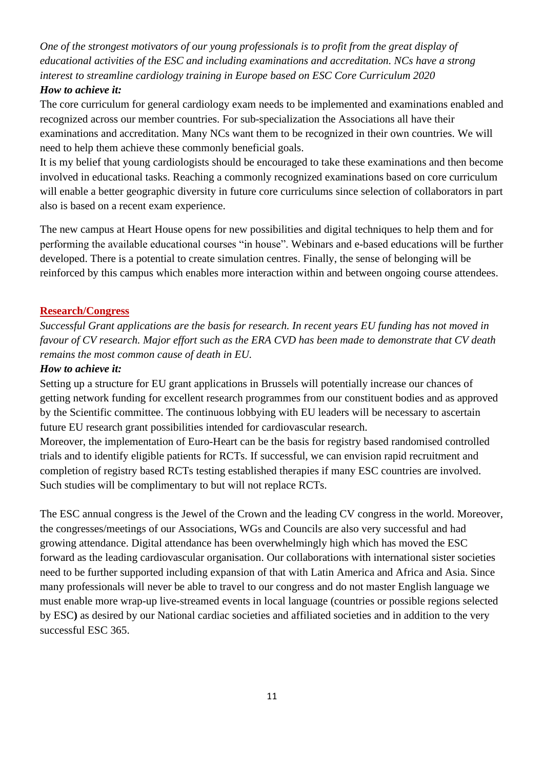*One of the strongest motivators of our young professionals is to profit from the great display of educational activities of the ESC and including examinations and accreditation. NCs have a strong interest to streamline cardiology training in Europe based on ESC Core Curriculum 2020*

## *How to achieve it:*

The core curriculum for general cardiology exam needs to be implemented and examinations enabled and recognized across our member countries. For sub-specialization the Associations all have their examinations and accreditation. Many NCs want them to be recognized in their own countries. We will need to help them achieve these commonly beneficial goals.

It is my belief that young cardiologists should be encouraged to take these examinations and then become involved in educational tasks. Reaching a commonly recognized examinations based on core curriculum will enable a better geographic diversity in future core curriculums since selection of collaborators in part also is based on a recent exam experience.

The new campus at Heart House opens for new possibilities and digital techniques to help them and for performing the available educational courses "in house". Webinars and e-based educations will be further developed. There is a potential to create simulation centres. Finally, the sense of belonging will be reinforced by this campus which enables more interaction within and between ongoing course attendees.

## **Research/Congress**

*Successful Grant applications are the basis for research. In recent years EU funding has not moved in favour of CV research. Major effort such as the ERA CVD has been made to demonstrate that CV death remains the most common cause of death in EU.* 

#### *How to achieve it:*

Setting up a structure for EU grant applications in Brussels will potentially increase our chances of getting network funding for excellent research programmes from our constituent bodies and as approved by the Scientific committee. The continuous lobbying with EU leaders will be necessary to ascertain future EU research grant possibilities intended for cardiovascular research.

Moreover, the implementation of Euro-Heart can be the basis for registry based randomised controlled trials and to identify eligible patients for RCTs. If successful, we can envision rapid recruitment and completion of registry based RCTs testing established therapies if many ESC countries are involved. Such studies will be complimentary to but will not replace RCTs.

The ESC annual congress is the Jewel of the Crown and the leading CV congress in the world. Moreover, the congresses/meetings of our Associations, WGs and Councils are also very successful and had growing attendance. Digital attendance has been overwhelmingly high which has moved the ESC forward as the leading cardiovascular organisation. Our collaborations with international sister societies need to be further supported including expansion of that with Latin America and Africa and Asia. Since many professionals will never be able to travel to our congress and do not master English language we must enable more wrap-up live-streamed events in local language (countries or possible regions selected by ESC**)** as desired by our National cardiac societies and affiliated societies and in addition to the very successful ESC 365.